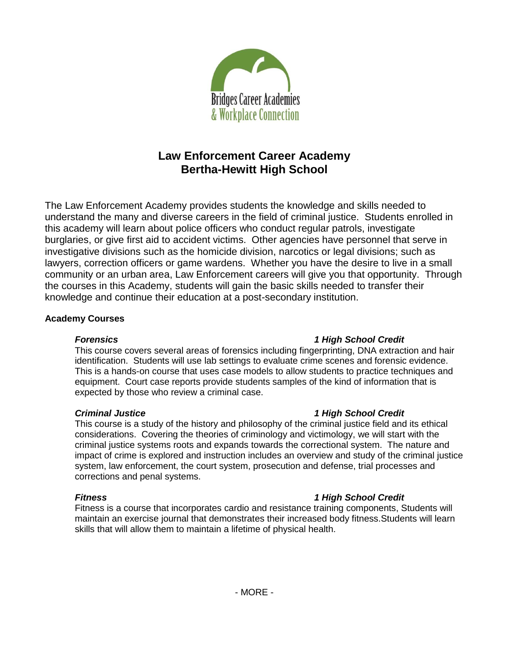

# **Law Enforcement Career Academy Bertha-Hewitt High School**

The Law Enforcement Academy provides students the knowledge and skills needed to understand the many and diverse careers in the field of criminal justice. Students enrolled in this academy will learn about police officers who conduct regular patrols, investigate burglaries, or give first aid to accident victims. Other agencies have personnel that serve in investigative divisions such as the homicide division, narcotics or legal divisions; such as lawyers, correction officers or game wardens. Whether you have the desire to live in a small community or an urban area, Law Enforcement careers will give you that opportunity. Through the courses in this Academy, students will gain the basic skills needed to transfer their knowledge and continue their education at a post-secondary institution.

#### **Academy Courses**

#### *Forensics 1 High School Credit*

This course covers several areas of forensics including fingerprinting, DNA extraction and hair identification. Students will use lab settings to evaluate crime scenes and forensic evidence. This is a hands-on course that uses case models to allow students to practice techniques and equipment. Court case reports provide students samples of the kind of information that is expected by those who review a criminal case.

### *Criminal Justice 1 High School Credit*

This course is a study of the history and philosophy of the criminal justice field and its ethical considerations. Covering the theories of criminology and victimology, we will start with the criminal justice systems roots and expands towards the correctional system. The nature and impact of crime is explored and instruction includes an overview and study of the criminal justice system, law enforcement, the court system, prosecution and defense, trial processes and corrections and penal systems.

## *Fitness 1 High School Credit*

Fitness is a course that incorporates cardio and resistance training components, Students will maintain an exercise journal that demonstrates their increased body fitness.Students will learn skills that will allow them to maintain a lifetime of physical health.